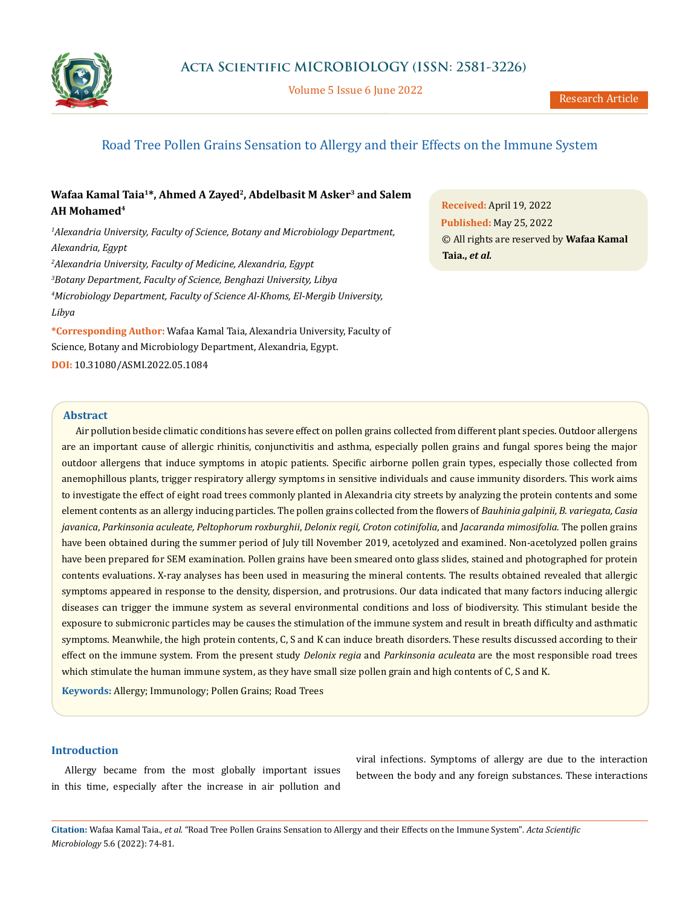

Volume 5 Issue 6 June 2022

# Road Tree Pollen Grains Sensation to Allergy and their Effects on the Immune System

## Wafaa Kamal Taia<sup>1\*</sup>, Ahmed A Zayed<sup>2</sup>, Abdelbasit M Asker<sup>3</sup> and Salem **AH Mohamed4**

 *Alexandria University, Faculty of Science, Botany and Microbiology Department, Alexandria, Egypt Alexandria University, Faculty of Medicine, Alexandria, Egypt Botany Department, Faculty of Science, Benghazi University, Libya Microbiology Department, Faculty of Science Al-Khoms, El-Mergib University, Libya*

**\*Corresponding Author:** Wafaa Kamal Taia, Alexandria University, Faculty of Science, Botany and Microbiology Department, Alexandria, Egypt. **DOI:** [10.31080/ASMI.2022.05.1084](https://actascientific.com/ASMI/pdf/ASMI-05-1084.pdf)

**Received:** April 19, 2022 **Published:** May 25, 2022 © All rights are reserved by **Wafaa Kamal Taia.,** *et al.*

### **Abstract**

Air pollution beside climatic conditions has severe effect on pollen grains collected from different plant species. Outdoor allergens are an important cause of allergic rhinitis, conjunctivitis and asthma, especially pollen grains and fungal spores being the major outdoor allergens that induce symptoms in atopic patients. Specific airborne pollen grain types, especially those collected from anemophillous plants, trigger respiratory allergy symptoms in sensitive individuals and cause immunity disorders. This work aims to investigate the effect of eight road trees commonly planted in Alexandria city streets by analyzing the protein contents and some element contents as an allergy inducing particles. The pollen grains collected from the flowers of *Bauhinia galpinii, B. variegata, Casia javanica*, *Parkinsonia aculeate, Peltophorum roxburghii*, *Delonix regii, Croton cotinifolia*, and *Jacaranda mimosifolia*. The pollen grains have been obtained during the summer period of July till November 2019, acetolyzed and examined. Non-acetolyzed pollen grains have been prepared for SEM examination. Pollen grains have been smeared onto glass slides, stained and photographed for protein contents evaluations. X-ray analyses has been used in measuring the mineral contents. The results obtained revealed that allergic symptoms appeared in response to the density, dispersion, and protrusions. Our data indicated that many factors inducing allergic diseases can trigger the immune system as several environmental conditions and loss of biodiversity. This stimulant beside the exposure to submicronic particles may be causes the stimulation of the immune system and result in breath difficulty and asthmatic symptoms. Meanwhile, the high protein contents, C, S and K can induce breath disorders. These results discussed according to their effect on the immune system. From the present study *Delonix regia* and *Parkinsonia aculeata* are the most responsible road trees which stimulate the human immune system, as they have small size pollen grain and high contents of C, S and K.

**Keywords:** Allergy; Immunology; Pollen Grains; Road Trees

### **Introduction**

Allergy became from the most globally important issues in this time, especially after the increase in air pollution and

viral infections. Symptoms of allergy are due to the interaction between the body and any foreign substances. These interactions

**Citation:** Wafaa Kamal Taia*., et al.* "Road Tree Pollen Grains Sensation to Allergy and their Effects on the Immune System". *Acta Scientific Microbiology* 5.6 (2022): 74-81.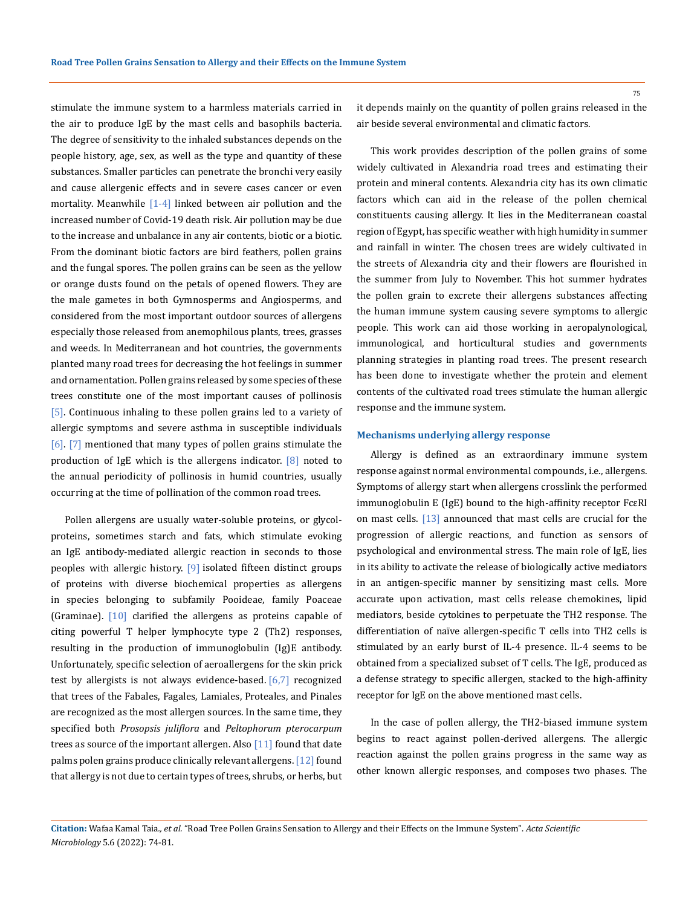stimulate the immune system to a harmless materials carried in the air to produce IgE by the mast cells and basophils bacteria. The degree of sensitivity to the inhaled substances depends on the people history, age, sex, as well as the type and quantity of these substances. Smaller particles can penetrate the bronchi very easily and cause allergenic effects and in severe cases cancer or even mortality. Meanwhile [1-4] linked between air pollution and the increased number of Covid-19 death risk. Air pollution may be due to the increase and unbalance in any air contents, biotic or a biotic. From the dominant biotic factors are bird feathers, pollen grains and the fungal spores. The pollen grains can be seen as the yellow or orange dusts found on the petals of opened flowers. They are the male gametes in both Gymnosperms and Angiosperms, and considered from the most important outdoor sources of allergens especially those released from anemophilous plants, trees, grasses and weeds. In Mediterranean and hot countries, the governments planted many road trees for decreasing the hot feelings in summer and ornamentation. Pollen grains released by some species of these trees constitute one of the most important causes of pollinosis [5]. Continuous inhaling to these pollen grains led to a variety of allergic symptoms and severe asthma in susceptible individuals [6]. [7] mentioned that many types of pollen grains stimulate the production of IgE which is the allergens indicator. [8] noted to the annual periodicity of pollinosis in humid countries, usually occurring at the time of pollination of the common road trees.

Pollen allergens are usually water-soluble proteins, or glycolproteins, sometimes starch and fats, which stimulate evoking an IgE antibody-mediated allergic reaction in seconds to those peoples with allergic history. [9] isolated fifteen distinct groups of proteins with diverse biochemical properties as allergens in species belonging to subfamily Pooideae, family Poaceae (Graminae). [10] clarified the allergens as proteins capable of citing powerful T helper lymphocyte type 2 (Th2) responses, resulting in the production of immunoglobulin (Ig)E antibody. Unfortunately, specific selection of aeroallergens for the skin prick test by allergists is not always evidence-based. [6,7] recognized that trees of the Fabales, Fagales, Lamiales, Proteales, and Pinales are recognized as the most allergen sources. In the same time, they specified both *Prosopsis juliflora* and *Peltophorum pterocarpum* trees as source of the important allergen. Also  $[11]$  found that date palms polen grains produce clinically relevant allergens. [12] found that allergy is not due to certain types of trees, shrubs, or herbs, but

it depends mainly on the quantity of pollen grains released in the air beside several environmental and climatic factors.

This work provides description of the pollen grains of some widely cultivated in Alexandria road trees and estimating their protein and mineral contents. Alexandria city has its own climatic factors which can aid in the release of the pollen chemical constituents causing allergy. It lies in the Mediterranean coastal region of Egypt, has specific weather with high humidity in summer and rainfall in winter. The chosen trees are widely cultivated in the streets of Alexandria city and their flowers are flourished in the summer from July to November. This hot summer hydrates the pollen grain to excrete their allergens substances affecting the human immune system causing severe symptoms to allergic people. This work can aid those working in aeropalynological, immunological, and horticultural studies and governments planning strategies in planting road trees. The present research has been done to investigate whether the protein and element contents of the cultivated road trees stimulate the human allergic response and the immune system.

#### **Mechanisms underlying allergy response**

Allergy is defined as an extraordinary immune system response against normal environmental compounds, i.e., allergens. Symptoms of allergy start when allergens crosslink the performed immunoglobulin E (IgE) bound to the high-affinity receptor FcεRI on mast cells. [13] announced that mast cells are crucial for the progression of allergic reactions, and function as sensors of psychological and environmental stress. The main role of IgE, lies in its ability to activate the release of biologically active mediators in an antigen-specific manner by sensitizing mast cells. More accurate upon activation, mast cells release chemokines, lipid mediators, beside cytokines to perpetuate the TH2 response. The differentiation of naïve allergen-specific T cells into TH2 cells is stimulated by an early burst of IL-4 presence. IL-4 seems to be obtained from a specialized subset of T cells. The IgE, produced as a defense strategy to specific allergen, stacked to the high-affinity receptor for IgE on the above mentioned mast cells.

In the case of pollen allergy, the TH2-biased immune system begins to react against pollen-derived allergens. The allergic reaction against the pollen grains progress in the same way as other known allergic responses, and composes two phases. The

**Citation:** Wafaa Kamal Taia*., et al.* "Road Tree Pollen Grains Sensation to Allergy and their Effects on the Immune System". *Acta Scientific Microbiology* 5.6 (2022): 74-81.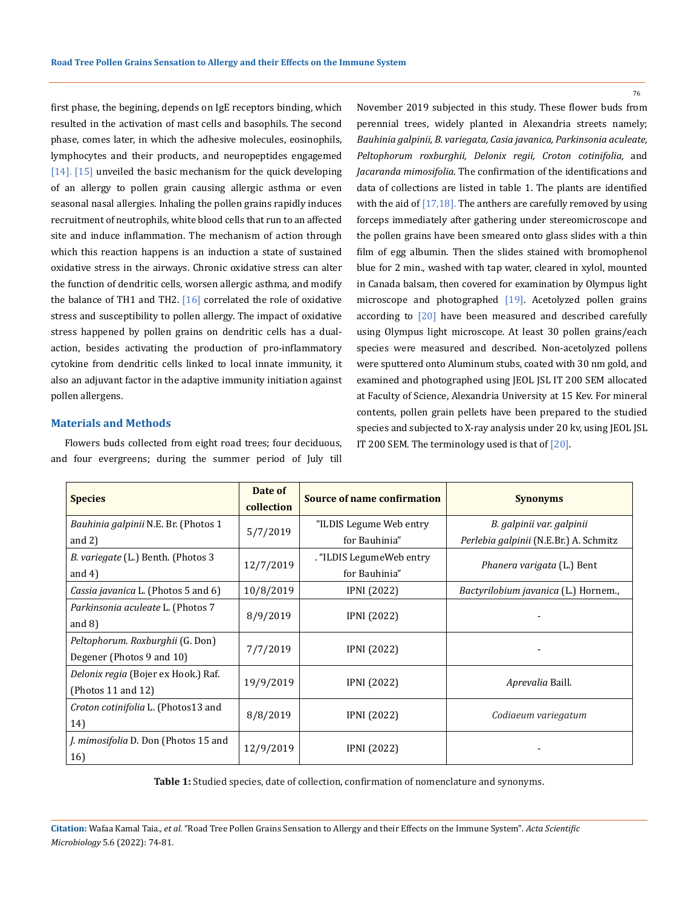first phase, the begining, depends on IgE receptors binding, which resulted in the activation of mast cells and basophils. The second phase, comes later, in which the adhesive molecules, eosinophils, lymphocytes and their products, and neuropeptides engagemed [14]. [15] unveiled the basic mechanism for the quick developing of an allergy to pollen grain causing allergic asthma or even seasonal nasal allergies. Inhaling the pollen grains rapidly induces recruitment of neutrophils, white blood cells that run to an affected site and induce inflammation. The mechanism of action through which this reaction happens is an induction a state of sustained oxidative stress in the airways. Chronic oxidative stress can alter the function of dendritic cells, worsen allergic asthma, and modify the balance of TH1 and TH2.  $[16]$  correlated the role of oxidative stress and susceptibility to pollen allergy. The impact of oxidative stress happened by pollen grains on dendritic cells has a dualaction, besides activating the production of pro-inflammatory cytokine from dendritic cells linked to local innate immunity, it also an adjuvant factor in the adaptive immunity initiation against pollen allergens.

#### **Materials and Methods**

Flowers buds collected from eight road trees; four deciduous, and four evergreens; during the summer period of July till November 2019 subjected in this study. These flower buds from perennial trees, widely planted in Alexandria streets namely; *Bauhinia galpinii, B. variegata, Casia javanica, Parkinsonia aculeate, Peltophorum roxburghii, Delonix regii, Croton cotinifolia,* and *Jacaranda mimosifolia*. The confirmation of the identifications and data of collections are listed in table 1. The plants are identified with the aid of  $[17,18]$ . The anthers are carefully removed by using forceps immediately after gathering under stereomicroscope and the pollen grains have been smeared onto glass slides with a thin film of egg albumin. Then the slides stained with bromophenol blue for 2 min., washed with tap water, cleared in xylol, mounted in Canada balsam, then covered for examination by Olympus light microscope and photographed [19]. Acetolyzed pollen grains according to [20] have been measured and described carefully using Olympus light microscope. At least 30 pollen grains/each species were measured and described. Non-acetolyzed pollens were sputtered onto Aluminum stubs, coated with 30 nm gold, and examined and photographed using JEOL JSL IT 200 SEM allocated at Faculty of Science, Alexandria University at 15 Kev. For mineral contents, pollen grain pellets have been prepared to the studied species and subjected to X-ray analysis under 20 kv, using JEOL JSL IT 200 SEM. The terminology used is that of  $[20]$ .

| <b>Species</b>                              | Date of<br>collection | <b>Source of name confirmation</b> | <b>Synonyms</b>                        |  |  |  |  |
|---------------------------------------------|-----------------------|------------------------------------|----------------------------------------|--|--|--|--|
| Bauhinia galpinii N.E. Br. (Photos 1        | 5/7/2019              | "ILDIS Legume Web entry            | B. galpinii var. galpinii              |  |  |  |  |
| and $2)$                                    |                       | for Bauhinia"                      | Perlebia galpinii (N.E.Br.) A. Schmitz |  |  |  |  |
| B. variegate (L.) Benth. (Photos 3          |                       | . "ILDIS LegumeWeb entry".         | Phanera varigata (L.) Bent             |  |  |  |  |
| and $4$ )                                   | 12/7/2019             | for Bauhinia"                      |                                        |  |  |  |  |
| <i>Cassia javanica</i> L. (Photos 5 and 6)  | 10/8/2019             | <b>IPNI</b> (2022)                 | Bactyrilobium javanica (L.) Hornem.,   |  |  |  |  |
| Parkinsonia aculeate L. (Photos 7           |                       |                                    |                                        |  |  |  |  |
| and $8$ )                                   | 8/9/2019              | <b>IPNI</b> (2022)                 |                                        |  |  |  |  |
| Peltophorum. Roxburghii (G. Don)            | 7/7/2019              | <b>IPNI</b> (2022)                 |                                        |  |  |  |  |
| Degener (Photos 9 and 10)                   |                       |                                    |                                        |  |  |  |  |
| Delonix regia (Bojer ex Hook.) Raf.         |                       |                                    |                                        |  |  |  |  |
| (Photos 11 and $12$ )                       | 19/9/2019             | <b>IPNI</b> (2022)                 | Aprevalia Baill.                       |  |  |  |  |
| Croton cotinifolia L. (Photos13 and         |                       |                                    |                                        |  |  |  |  |
| 14)                                         | 8/8/2019              | <b>IPNI</b> (2022)                 | Codiaeum variegatum                    |  |  |  |  |
| <i>J. mimosifolia D. Don (Photos 15 and</i> |                       |                                    |                                        |  |  |  |  |
| 16)                                         | 12/9/2019             | <b>IPNI</b> (2022)                 |                                        |  |  |  |  |

**Table 1:** Studied species, date of collection, confirmation of nomenclature and synonyms.

**Citation:** Wafaa Kamal Taia*., et al.* "Road Tree Pollen Grains Sensation to Allergy and their Effects on the Immune System". *Acta Scientific Microbiology* 5.6 (2022): 74-81.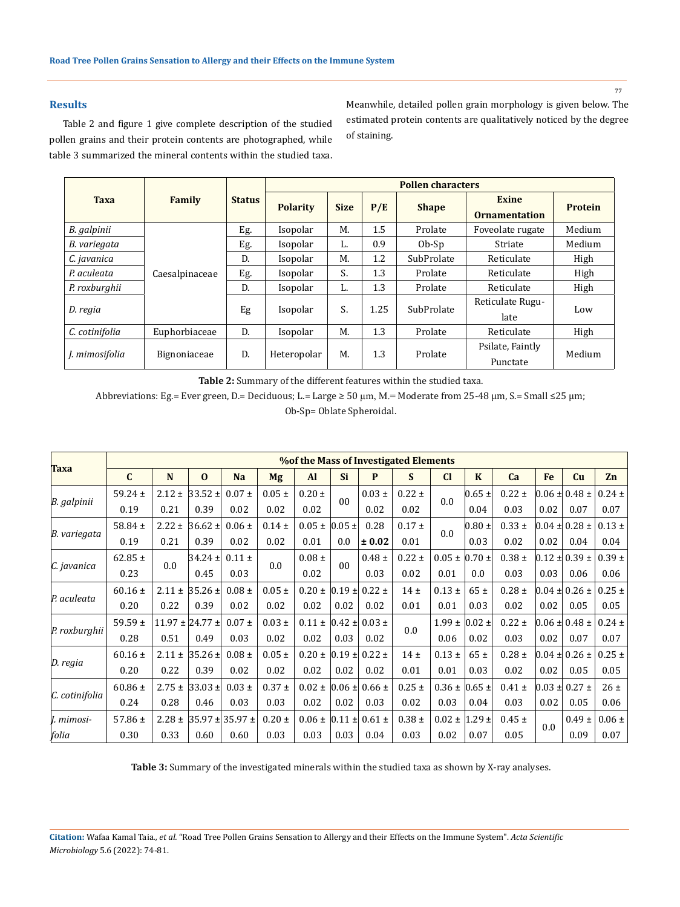### **Results**

Table 2 and figure 1 give complete description of the studied pollen grains and their protein contents are photographed, while table 3 summarized the mineral contents within the studied taxa. Meanwhile, detailed pollen grain morphology is given below. The estimated protein contents are qualitatively noticed by the degree of staining.

|                |                |               | <b>Pollen characters</b> |                      |      |                              |                                      |                |  |  |  |  |
|----------------|----------------|---------------|--------------------------|----------------------|------|------------------------------|--------------------------------------|----------------|--|--|--|--|
| <b>Taxa</b>    | Family         | <b>Status</b> | <b>Polarity</b>          | <b>Size</b>          |      | <b>Shape</b>                 | <b>Exine</b><br><b>Ornamentation</b> | <b>Protein</b> |  |  |  |  |
| B. galpinii    |                | Eg.           | Isopolar                 | М.                   | 1.5  | Prolate                      | Foveolate rugate                     | Medium         |  |  |  |  |
| B. variegata   |                | Eg.           | Isopolar                 | L.                   | 0.9  | $Ob-Sp$                      | Striate                              | Medium         |  |  |  |  |
| C. javanica    |                | D.            | Isopolar                 | М.                   | 1.2  | SubProlate                   | Reticulate                           | High           |  |  |  |  |
| P. aculeata    | Caesalpinaceae | Eg.           | Isopolar                 | S.                   | 1.3  | Prolate                      | Reticulate                           | High           |  |  |  |  |
| P. roxburghii  |                | D.            | Isopolar                 | L.                   | 1.3  | Prolate                      | Reticulate                           | High           |  |  |  |  |
| D. regia       |                | Eg            | Isopolar                 | S.                   | 1.25 | SubProlate                   | Reticulate Rugu-<br>late             | Low            |  |  |  |  |
| C. cotinifolia | Euphorbiaceae  | D.            | Isopolar                 | M.                   | 1.3  | Prolate                      | Reticulate                           | High           |  |  |  |  |
| J. mimosifolia | Bignoniaceae   | D.            | Heteropolar              | 1.3<br>М.<br>Prolate |      | Psilate, Faintly<br>Punctate | Medium                               |                |  |  |  |  |

**Table 2:** Summary of the different features within the studied taxa.

Abbreviations: Eg.= Ever green, D.= Deciduous; L.= Large ≥ 50 µm, M.= Moderate from 25-48 µm, S.= Small ≤25 µm;

Ob-Sp= Oblate Spheroidal.

| <b>Taxa</b>    | <b>% % of the Mass of Investigated Elements</b> |            |                       |             |            |            |                |            |            |                                        |             |            |            |                          |            |
|----------------|-------------------------------------------------|------------|-----------------------|-------------|------------|------------|----------------|------------|------------|----------------------------------------|-------------|------------|------------|--------------------------|------------|
|                | $\mathbf{C}$                                    | N          | $\bf{0}$              | <b>Na</b>   | <b>Mg</b>  | <b>Al</b>  | <b>Si</b>      | P          | S          | $CI$                                   | $\mathbf K$ | Ca         | Fe         | Cu                       | Zn         |
| B. galpinii    | 59.24 $\pm$                                     | $2.12 \pm$ | $ 33.52 \pm  $        | $0.07 \pm$  | $0.05 \pm$ | $0.20 \pm$ | 0 <sub>0</sub> | $0.03 \pm$ | $0.22 \pm$ | 0.0                                    | $0.65 \pm$  | $0.22 \pm$ |            | $0.06 \pm 0.48 \pm 0.06$ | $0.24 \pm$ |
|                | 0.19                                            | 0.21       | 0.39                  | 0.02        | 0.02       | 0.02       |                | 0.02       | 0.02       |                                        | 0.04        | 0.03       | 0.02       | 0.07                     | 0.07       |
| B. variegata   | 58.84 $\pm$                                     | $2.22 \pm$ | $ 36.62 \pm$          | $0.06 \pm$  | $0.14 \pm$ | $0.05 \pm$ | $0.05 \pm$     | 0.28       | $0.17 \pm$ | 0.0                                    | $0.80 \pm$  | $0.33 \pm$ | $0.04 \pm$ | $0.28 \pm$               | $0.13 \pm$ |
|                | 0.19                                            | 0.21       | 0.39                  | 0.02        | 0.02       | 0.01       | 0.0            | ± 0.02     | 0.01       |                                        | 0.03        | 0.02       | 0.02       | 0.04                     | 0.04       |
| C. javanica    | $62.85 \pm$                                     | 0.0        | $ 34.24 \pm  $        | $0.11 \pm$  | 0.0        | $0.08 \pm$ | 0 <sub>0</sub> | $0.48 \pm$ | $0.22 \pm$ | $0.05 \pm 0.70 \pm$                    |             | $0.38 \pm$ |            | $0.12 \pm 0.39 \pm$      | $0.39 \pm$ |
|                | 0.23                                            |            | 0.45                  | 0.03        |            | 0.02       |                | 0.03       | 0.02       | 0.01                                   | 0.0         | 0.03       | 0.03       | 0.06                     | 0.06       |
| P. aculeata    | $60.16 \pm$                                     | $2.11 \pm$ | $ 35.26 \pm  $        | $0.08 \pm$  | $0.05 \pm$ | $0.20 \pm$ | $0.19 \pm$     | $0.22 \pm$ | 14±        | $0.13 \pm$                             | 65±         | $0.28 \pm$ |            | $0.04 \pm 0.26 \pm 1$    | $0.25 \pm$ |
|                | 0.20                                            | 0.22       | 0.39                  | 0.02        | 0.02       | 0.02       | 0.02           | 0.02       | 0.01       | 0.01                                   | 0.03        | 0.02       | 0.02       | 0.05                     | 0.05       |
| P. roxburghii  | 59.59 $\pm$                                     |            | $11.97 \pm 24.77 \pm$ | $0.07 \pm$  | $0.03 \pm$ | $0.11 \pm$ | $0.42 \pm$     | $0.03 \pm$ | 0.0        | $1.99 \pm$                             | $0.02 \pm$  | $0.22 \pm$ |            | $0.06 \pm 0.48 \pm 0.00$ | $0.24 \pm$ |
|                | 0.28                                            | 0.51       | 0.49                  | 0.03        | 0.02       | 0.02       | 0.03           | 0.02       |            | 0.06                                   | 0.02        | 0.03       | 0.02       | 0.07                     | 0.07       |
| $D.$ regia     | $60.16 \pm$                                     | $2.11 \pm$ | $ 35.26 \pm  $        | $0.08 \pm$  | $0.05 \pm$ | $0.20 \pm$ | $0.19 \pm$     | $0.22 \pm$ | 14±        | $0.13 \pm$                             | 65±         | $0.28 \pm$ |            | $0.04 \pm 0.26 \pm 1$    | $0.25 \pm$ |
|                | 0.20                                            | 0.22       | 0.39                  | 0.02        | 0.02       | 0.02       | 0.02           | 0.02       | 0.01       | 0.01                                   | 0.03        | 0.02       | 0.02       | 0.05                     | 0.05       |
| C. cotinifolia | $60.86 \pm$                                     | $2.75 \pm$ | $ 33.03 \pm  $        | $0.03 \pm$  | $0.37 \pm$ | $0.02 \pm$ | $0.06 \pm$     | $0.66 \pm$ | $0.25 \pm$ | $0.36 \pm 0.65 \pm$                    |             | $0.41 \pm$ |            | $0.03 \pm 0.27 \pm$      | 26±        |
|                | 0.24                                            | 0.28       | 0.46                  | 0.03        | 0.03       | 0.02       | 0.02           | 0.03       | 0.02       | 0.03                                   | 0.04        | 0.03       | 0.02       | 0.05                     | 0.06       |
| J. mimosi-     | 57.86 $\pm$                                     | $2.28 \pm$ | $ 35.97 \pm  $        | $35.97 \pm$ | $0.20 \pm$ | $0.06 \pm$ | $ 0.11 \pm  $  | $0.61 \pm$ | $0.38 \pm$ | $0.02 \pm  1.29 \pm  $<br>0.02<br>0.07 | $0.45 \pm$  | 0.0        | $0.49 \pm$ | $0.06 \pm$               |            |
| folia          | 0.30                                            | 0.33       | 0.60                  | 0.60        | 0.03       | 0.03       | 0.03           | 0.04       | 0.03       |                                        |             | 0.05       |            | 0.09                     | 0.07       |

**Table 3:** Summary of the investigated minerals within the studied taxa as shown by X-ray analyses.

**Citation:** Wafaa Kamal Taia*., et al.* "Road Tree Pollen Grains Sensation to Allergy and their Effects on the Immune System". *Acta Scientific Microbiology* 5.6 (2022): 74-81.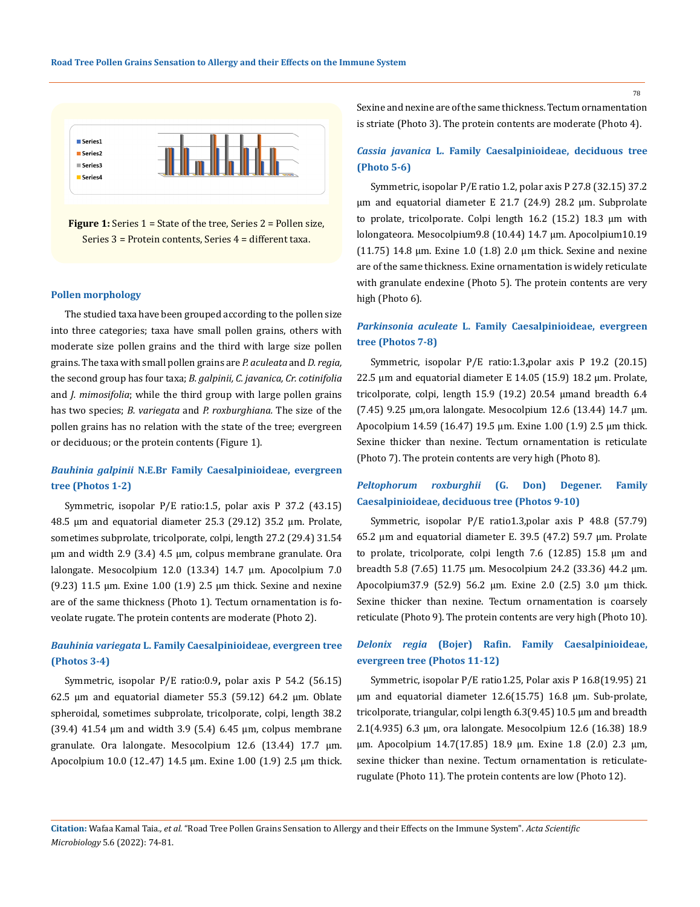

**Figure 1:** Series 1 = State of the tree, Series 2 = Pollen size, Series 3 = Protein contents, Series 4 = different taxa.

#### **Pollen morphology**

The studied taxa have been grouped according to the pollen size into three categories; taxa have small pollen grains, others with moderate size pollen grains and the third with large size pollen grains. The taxa with small pollen grains are *P. aculeata* and *D. regia,*  the second group has four taxa; *B. galpinii, C. javanica, Cr. cotinifolia*  and *J. mimosifolia*; while the third group with large pollen grains has two species; *B. variegata* and *P. roxburghiana.* The size of the pollen grains has no relation with the state of the tree; evergreen or deciduous; or the protein contents (Figure 1).

## *Bauhinia galpinii* **N.E.Br Family Caesalpinioideae, evergreen tree (Photos 1-2)**

Symmetric, isopolar P/E ratio:1.5, polar axis P 37.2 (43.15) 48.5 μm and equatorial diameter 25.3 (29.12) 35.2 μm. Prolate, sometimes subprolate, tricolporate, colpi, length 27.2 (29.4) 31.54 μm and width 2.9 (3.4) 4.5 μm, colpus membrane granulate. Ora lalongate. Mesocolpium 12.0 (13.34) 14.7 μm. Apocolpium 7.0 (9.23) 11.5 μm. Exine 1.00 (1.9) 2.5 μm thick. Sexine and nexine are of the same thickness (Photo 1). Tectum ornamentation is foveolate rugate. The protein contents are moderate (Photo 2).

## *Bauhinia variegata* **L. Family Caesalpinioideae, evergreen tree (Photos 3-4)**

Symmetric, isopolar P/E ratio:0.9**,** polar axis P 54.2 (56.15) 62.5 μm and equatorial diameter 55.3 (59.12) 64.2 μm. Oblate spheroidal, sometimes subprolate, tricolporate, colpi, length 38.2 (39.4) 41.54 μm and width 3.9 (5.4) 6.45 μm, colpus membrane granulate. Ora lalongate. Mesocolpium 12.6 (13.44) 17.7 μm. Apocolpium 10.0 (12..47) 14.5 μm. Exine 1.00 (1.9) 2.5 μm thick. Sexine and nexine are of the same thickness. Tectum ornamentation is striate (Photo 3). The protein contents are moderate (Photo 4).

## *Cassia javanica* **L. Family Caesalpinioideae, deciduous tree (Photo 5-6)**

Symmetric, isopolar P/E ratio 1.2, polar axis P 27.8 (32.15) 37.2 μm and equatorial diameter E 21.7 (24.9) 28.2 μm. Subprolate to prolate, tricolporate. Colpi length 16.2 (15.2) 18.3 µm with lolongateora. Mesocolpium9.8 (10.44) 14.7 μm. Apocolpium10.19 (11.75) 14.8 μm. Exine 1.0 (1.8) 2.0 μm thick. Sexine and nexine are of the same thickness. Exine ornamentation is widely reticulate with granulate endexine (Photo 5). The protein contents are very high (Photo 6).

## *Parkinsonia aculeate* **L. Family Caesalpinioideae, evergreen tree (Photos 7-8)**

Symmetric, isopolar P/E ratio:1.3**,**polar axis P 19.2 (20.15) 22.5 μm and equatorial diameter E 14.05 (15.9) 18.2 μm. Prolate, tricolporate, colpi, length 15.9 (19.2) 20.54 μmand breadth 6.4 (7.45) 9.25 μm,ora lalongate. Mesocolpium 12.6 (13.44) 14.7 μm. Apocolpium 14.59 (16.47) 19.5 μm. Exine 1.00 (1.9) 2.5 μm thick. Sexine thicker than nexine. Tectum ornamentation is reticulate (Photo 7). The protein contents are very high (Photo 8).

### *Peltophorum roxburghii* **(G. Don) Degener. Family Caesalpinioideae, deciduous tree (Photos 9-10)**

Symmetric, isopolar P/E ratio1.3,polar axis P 48.8 (57.79) 65.2 μm and equatorial diameter E. 39.5 (47.2) 59.7 μm. Prolate to prolate, tricolporate, colpi length 7.6 (12.85) 15.8 μm and breadth 5.8 (7.65) 11.75 μm. Mesocolpium 24.2 (33.36) 44.2 μm. Apocolpium37.9 (52.9) 56.2 μm. Exine 2.0 (2.5) 3.0 μm thick. Sexine thicker than nexine. Tectum ornamentation is coarsely reticulate (Photo 9). The protein contents are very high (Photo 10).

### *Delonix regia* **(Bojer) Rafin. Family Caesalpinioideae, evergreen tree (Photos 11-12)**

Symmetric, isopolar P/E ratio1.25, Polar axis P 16.8(19.95) 21 μm and equatorial diameter 12.6(15.75) 16.8 μm. Sub-prolate, tricolporate, triangular, colpi length 6.3(9.45) 10.5 μm and breadth 2.1(4.935) 6.3 μm, ora lalongate. Mesocolpium 12.6 (16.38) 18.9 μm. Apocolpium 14.7(17.85) 18.9 μm. Exine 1.8 (2.0) 2.3 µm, sexine thicker than nexine. Tectum ornamentation is reticulaterugulate (Photo 11). The protein contents are low (Photo 12).

**Citation:** Wafaa Kamal Taia*., et al.* "Road Tree Pollen Grains Sensation to Allergy and their Effects on the Immune System". *Acta Scientific Microbiology* 5.6 (2022): 74-81.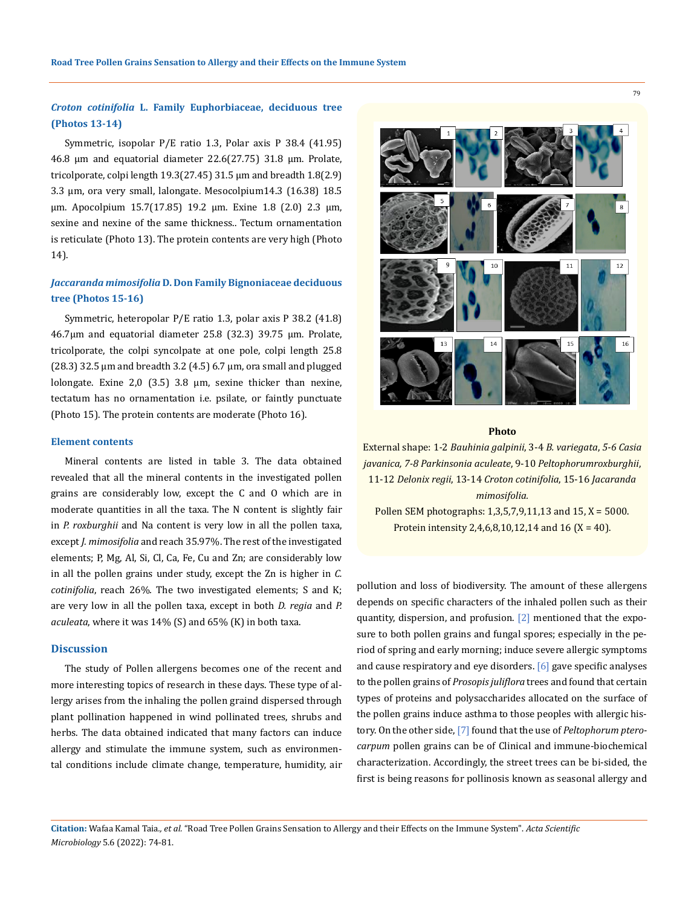## *Croton cotinifolia* **L. Family Euphorbiaceae, deciduous tree (Photos 13-14)**

Symmetric, isopolar P/E ratio 1.3, Polar axis P 38.4 (41.95) 46.8 μm and equatorial diameter 22.6(27.75) 31.8 μm. Prolate, tricolporate, colpi length  $19.3(27.45)$  31.5  $\mu$ m and breadth 1.8(2.9) 3.3 μm, ora very small, lalongate. Mesocolpium14.3 (16.38) 18.5 μm. Apocolpium 15.7(17.85) 19.2 μm. Exine 1.8 (2.0) 2.3 µm, sexine and nexine of the same thickness.. Tectum ornamentation is reticulate (Photo 13). The protein contents are very high (Photo 14).

## *Jaccaranda mimosifolia* **D. Don Family Bignoniaceae deciduous tree (Photos 15-16)**

Symmetric, heteropolar P/E ratio 1.3, polar axis P 38.2 (41.8) 46.7µm and equatorial diameter 25.8 (32.3) 39.75 µm. Prolate, tricolporate, the colpi syncolpate at one pole, colpi length 25.8  $(28.3)$  32.5  $\mu$ m and breadth 3.2  $(4.5)$  6.7  $\mu$ m, ora small and plugged lolongate. Exine 2,0 (3.5) 3.8 µm, sexine thicker than nexine, tectatum has no ornamentation i.e. psilate, or faintly punctuate (Photo 15). The protein contents are moderate (Photo 16).

#### **Element contents**

Mineral contents are listed in table 3. The data obtained revealed that all the mineral contents in the investigated pollen grains are considerably low, except the C and O which are in moderate quantities in all the taxa. The N content is slightly fair in *P. roxburghii* and Na content is very low in all the pollen taxa, except *J. mimosifolia* and reach 35.97%. The rest of the investigated elements; P, Mg, Al, Si, Cl, Ca, Fe, Cu and Zn; are considerably low in all the pollen grains under study, except the Zn is higher in *C. cotinifolia*, reach 26%*.* The two investigated elements; S and K; are very low in all the pollen taxa, except in both *D. regia* and *P. aculeata*, where it was 14% (S) and 65% (K) in both taxa.

#### **Discussion**

The study of [Pollen](https://www.sciencedirect.com/topics/medicine-and-dentistry/pollen) allergens becomes one of the recent and more interesting topics of research in these days. These type of allergy arises from the inhaling the pollen graind dispersed through plant [pollination](https://www.sciencedirect.com/topics/medicine-and-dentistry/pollination) happened in wind pollinated trees, shrubs and herbs. The data obtained indicated that many factors can induce allergy and stimulate the immune system, such as environmental conditions include climate change, temperature, humidity, air



#### **Photo**

External shape: 1*-*2 *Bauhinia galpinii*, 3-4 *B. variegata*, *5-6 Casia javanica, 7-8 Parkinsonia aculeate*, 9-10 *Peltophorumroxburghii*, 11-12 *Delonix regii*, 13-14 *Croton cotinifolia*, 15-16 *Jacaranda mimosifolia.* Pollen SEM photographs: 1,3,5,7,9,11,13 and 15, X = 5000. Protein intensity 2,4,6,8,10,12,14 and 16 (X = 40).

pollution and loss of biodiversity. The amount of these allergens depends on specific characters of the inhaled pollen such as their quantity, dispersion, and profusion. [2] mentioned that the exposure to both pollen grains and fungal spores; especially in the period of spring and early morning; induce severe allergic symptoms and cause respiratory and eye disorders. [6] gave specific analyses to the pollen grains of *Prosopis juliflora* trees and found that certain types of proteins and polysaccharides allocated on the surface of the pollen grains induce asthma to those peoples with allergic history. On the other side, [7] found that the use of *Peltophorum pterocarpum* pollen grains can be of Clinical and immune-biochemical characterization. Accordingly, the street trees can be bi-sided, the first is being reasons for pollinosis known as seasonal allergy and

**Citation:** Wafaa Kamal Taia*., et al.* "Road Tree Pollen Grains Sensation to Allergy and their Effects on the Immune System". *Acta Scientific Microbiology* 5.6 (2022): 74-81.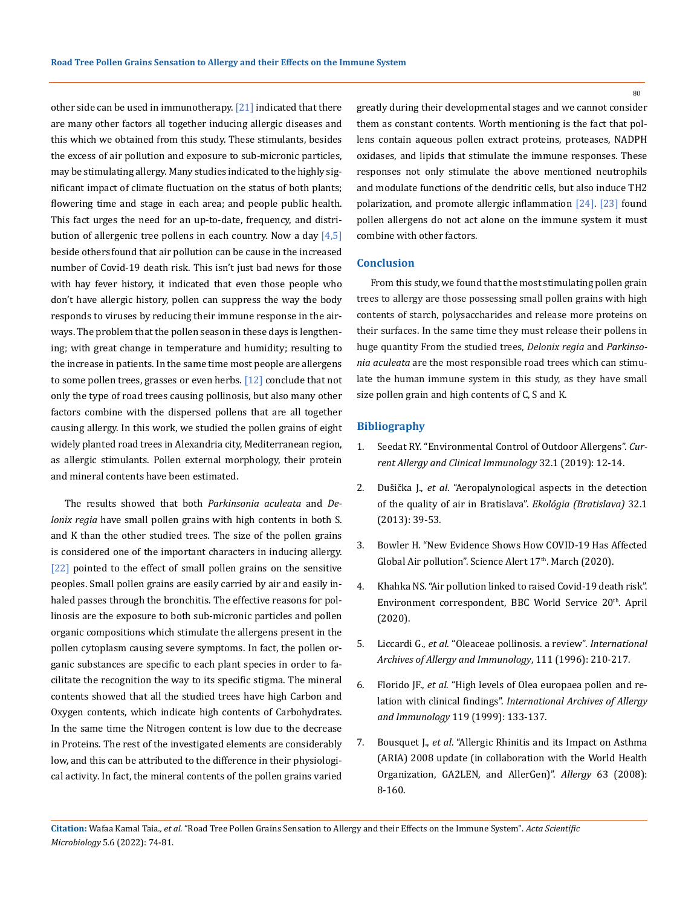other side can be used in immunotherapy. [21] indicated that there are many other factors all together inducing allergic diseases and this which we obtained from this study. These stimulants, besides the excess of air pollution and exposure to sub-micronic particles, may be stimulating allergy. Many studies indicated to the highly significant impact of climate fluctuation on the status of both plants; flowering time and stage in each area; and people public health. This fact urges the need for an up-to-date, frequency, and distribution of allergenic tree pollens in each country. Now a day  $[4,5]$ beside others found that air pollution can be cause in the increased number of Covid-19 death risk. This isn't just bad news for those with hay fever history, it indicated that even those people who don't have allergic history, pollen can suppress the way the body responds to viruses by reducing their immune response in the airways. The problem that the pollen season in these days is lengthening; with great change in temperature and humidity; resulting to the increase in patients. In the same time most people are allergens to some pollen trees, grasses or even herbs.  $[12]$  conclude that not only the type of road trees causing pollinosis, but also many other factors combine with the dispersed pollens that are all together causing allergy. In this work, we studied the pollen grains of eight widely planted road trees in Alexandria city, Mediterranean region, as allergic stimulants. Pollen external morphology, their protein and mineral contents have been estimated.

The results showed that both *Parkinsonia aculeata* and *Delonix regia* have small pollen grains with high contents in both S. and K than the other studied trees. The size of the pollen grains is considered one of the important characters in inducing allergy. [22] pointed to the effect of small pollen grains on the sensitive peoples. Small pollen grains are easily carried by air and easily inhaled passes through the bronchitis. The effective reasons for pollinosis are the exposure to both sub-micronic particles and pollen organic compositions which stimulate the allergens present in the pollen cytoplasm causing severe symptoms. In fact, the pollen organic substances are specific to each plant species in order to facilitate the recognition the way to its specific stigma. The mineral contents showed that all the studied trees have high Carbon and Oxygen contents, which indicate high contents of Carbohydrates. In the same time the Nitrogen content is low due to the decrease in Proteins. The rest of the investigated elements are considerably low, and this can be attributed to the difference in their physiological activity. In fact, the mineral contents of the pollen grains varied

greatly during their developmental stages and we cannot consider them as constant contents. Worth mentioning is the fact that pollens contain aqueous pollen extract proteins, proteases, NADPH oxidases, and lipids that stimulate the immune responses. These responses not only stimulate the above mentioned neutrophils and modulate functions of the dendritic cells, but also induce TH2 polarization, and promote allergic inflammation [24]. [23] found pollen allergens do not act alone on the immune system it must combine with other factors.

### **Conclusion**

From this study, we found that the most stimulating pollen grain trees to allergy are those possessing small pollen grains with high contents of starch, polysaccharides and release more proteins on their surfaces. In the same time they must release their pollens in huge quantity From the studied trees, *Delonix regia* and *Parkinsonia aculeata* are the most responsible road trees which can stimulate the human immune system in this study, as they have small size pollen grain and high contents of C, S and K.

#### **Bibliography**

- 1. [Seedat RY. "Environmental Control of Outdoor Allergens".](https://www.researchgate.net/publication/331772122_Environmental_control_of_outdoor_allergens) *Cur[rent Allergy and Clinical Immunology](https://www.researchgate.net/publication/331772122_Environmental_control_of_outdoor_allergens)* 32.1 (2019): 12-14.
- 2. Dušička J., *et al*[. "Aeropalynological aspects in the detection](https://www.researchgate.net/publication/310703267_Aeropalynological_aspects_in_the_detection_of_the_quality_of_air_in_Bratislava)  [of the quality of air in Bratislava".](https://www.researchgate.net/publication/310703267_Aeropalynological_aspects_in_the_detection_of_the_quality_of_air_in_Bratislava) *Ekológia (Bratislava)* 32.1 [\(2013\): 39-53.](https://www.researchgate.net/publication/310703267_Aeropalynological_aspects_in_the_detection_of_the_quality_of_air_in_Bratislava)
- 3. [Bowler H. "New Evidence Shows How COVID-19 Has Affected](https://www.sciencealert.com/here-s-what-covid-19-is-doing-to-our-pollution-levels)  Global Air pollution". Science Alert 17<sup>th</sup>. March (2020).
- 4. Khahka NS. "Air pollution linked to raised Covid-19 death risk". Environment correspondent, BBC World Service 20<sup>th</sup>. April (2020).
- 5. Liccardi G., *et al*[. "Oleaceae pollinosis. a review".](https://pubmed.ncbi.nlm.nih.gov/8917115/) *International [Archives of Allergy and Immunology](https://pubmed.ncbi.nlm.nih.gov/8917115/)*, 111 (1996): 210-217.
- 6. Florido JF., *et al*[. "High levels of Olea europaea pollen and re](https://pubmed.ncbi.nlm.nih.gov/10394105/)lation with clinical findings". *[International Archives of Allergy](https://pubmed.ncbi.nlm.nih.gov/10394105/)  and Immunology* [119 \(1999\): 133-137.](https://pubmed.ncbi.nlm.nih.gov/10394105/)
- 7. Bousquet J., *et al*[. "Allergic Rhinitis and its Impact on Asthma](https://pubmed.ncbi.nlm.nih.gov/18331513/)  [\(ARIA\) 2008 update \(in collaboration with the World Health](https://pubmed.ncbi.nlm.nih.gov/18331513/)  [Organization, GA2LEN, and AllerGen\)".](https://pubmed.ncbi.nlm.nih.gov/18331513/) *Allergy* 63 (2008): [8-160.](https://pubmed.ncbi.nlm.nih.gov/18331513/)

**Citation:** Wafaa Kamal Taia*., et al.* "Road Tree Pollen Grains Sensation to Allergy and their Effects on the Immune System". *Acta Scientific Microbiology* 5.6 (2022): 74-81.